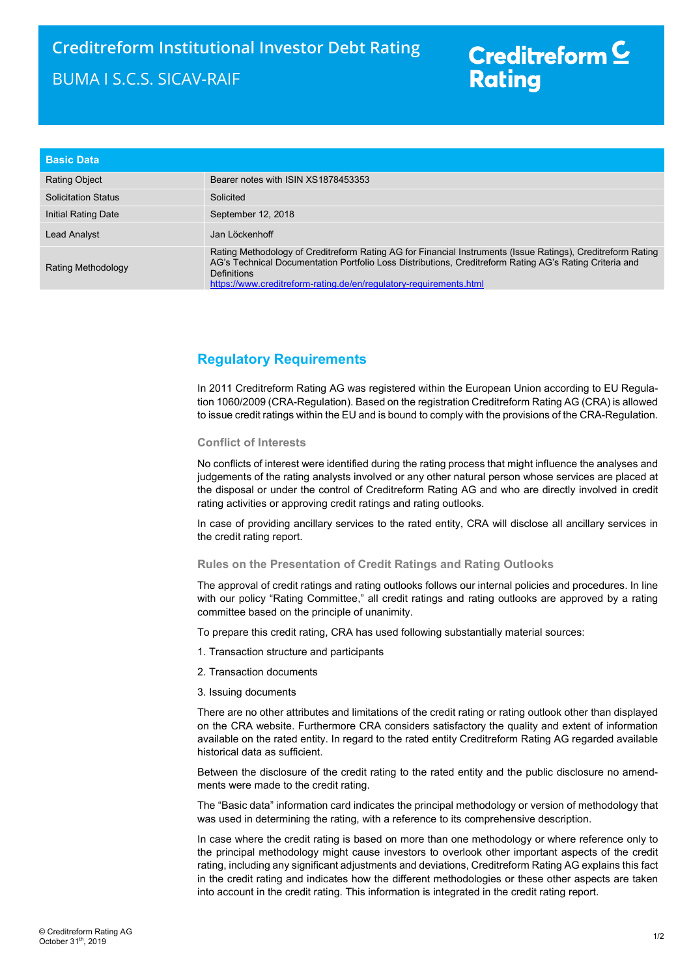# Creditreform<sup>C</sup> **Rating**

| <b>Basic Data</b>          |                                                                                                                                                                                                                                                                                                             |
|----------------------------|-------------------------------------------------------------------------------------------------------------------------------------------------------------------------------------------------------------------------------------------------------------------------------------------------------------|
| <b>Rating Object</b>       | Bearer notes with ISIN XS1878453353                                                                                                                                                                                                                                                                         |
| <b>Solicitation Status</b> | Solicited                                                                                                                                                                                                                                                                                                   |
| Initial Rating Date        | September 12, 2018                                                                                                                                                                                                                                                                                          |
| Lead Analyst               | Jan Löckenhoff                                                                                                                                                                                                                                                                                              |
| Rating Methodology         | Rating Methodology of Creditreform Rating AG for Financial Instruments (Issue Ratings), Creditreform Rating<br>AG's Technical Documentation Portfolio Loss Distributions, Creditreform Rating AG's Rating Criteria and<br>Definitions<br>https://www.creditreform-rating.de/en/regulatory-requirements.html |

### Regulatory Requirements

In 2011 Creditreform Rating AG was registered within the European Union according to EU Regulation 1060/2009 (CRA-Regulation). Based on the registration Creditreform Rating AG (CRA) is allowed to issue credit ratings within the EU and is bound to comply with the provisions of the CRA-Regulation.

### Conflict of Interests

No conflicts of interest were identified during the rating process that might influence the analyses and judgements of the rating analysts involved or any other natural person whose services are placed at the disposal or under the control of Creditreform Rating AG and who are directly involved in credit rating activities or approving credit ratings and rating outlooks.

In case of providing ancillary services to the rated entity, CRA will disclose all ancillary services in the credit rating report.

#### Rules on the Presentation of Credit Ratings and Rating Outlooks

The approval of credit ratings and rating outlooks follows our internal policies and procedures. In line with our policy "Rating Committee," all credit ratings and rating outlooks are approved by a rating committee based on the principle of unanimity.

To prepare this credit rating, CRA has used following substantially material sources:

- 1. Transaction structure and participants
- 2. Transaction documents
- 3. Issuing documents

There are no other attributes and limitations of the credit rating or rating outlook other than displayed on the CRA website. Furthermore CRA considers satisfactory the quality and extent of information available on the rated entity. In regard to the rated entity Creditreform Rating AG regarded available historical data as sufficient.

Between the disclosure of the credit rating to the rated entity and the public disclosure no amendments were made to the credit rating.

The "Basic data" information card indicates the principal methodology or version of methodology that was used in determining the rating, with a reference to its comprehensive description.

In case where the credit rating is based on more than one methodology or where reference only to the principal methodology might cause investors to overlook other important aspects of the credit rating, including any significant adjustments and deviations, Creditreform Rating AG explains this fact in the credit rating and indicates how the different methodologies or these other aspects are taken into account in the credit rating. This information is integrated in the credit rating report.